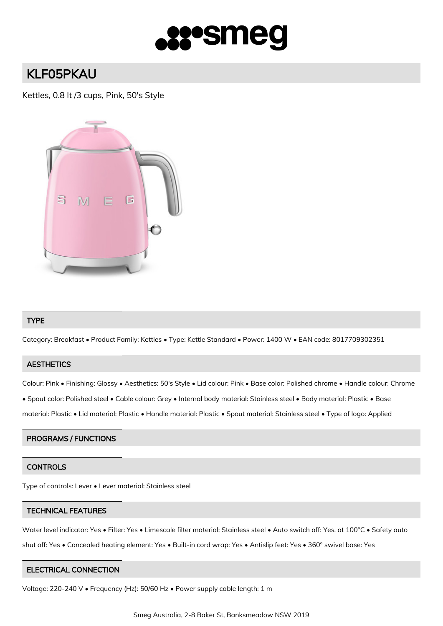

# KLF05PKAU

Kettles, 0.8 lt /3 cups, Pink, 50's Style



## TYPE

Category: Breakfast • Product Family: Kettles • Type: Kettle Standard • Power: 1400 W • EAN code: 8017709302351

# **AESTHETICS**

Colour: Pink • Finishing: Glossy • Aesthetics: 50's Style • Lid colour: Pink • Base color: Polished chrome • Handle colour: Chrome

• Spout color: Polished steel • Cable colour: Grey • Internal body material: Stainless steel • Body material: Plastic • Base

material: Plastic • Lid material: Plastic • Handle material: Plastic • Spout material: Stainless steel • Type of logo: Applied

### PROGRAMS / FUNCTIONS

# **CONTROLS**

Type of controls: Lever • Lever material: Stainless steel

### TECHNICAL FEATURES

Water level indicator: Yes • Filter: Yes • Limescale filter material: Stainless steel • Auto switch off: Yes, at 100°C • Safety auto shut off: Yes • Concealed heating element: Yes • Built-in cord wrap: Yes • Antislip feet: Yes • 360° swivel base: Yes

### ELECTRICAL CONNECTION

Voltage: 220-240 V • Frequency (Hz): 50/60 Hz • Power supply cable length: 1 m

Smeg Australia, 2-8 Baker St, Banksmeadow NSW 2019